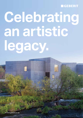### **MGEBERIT**

# **Celebrating an artistic legacy.**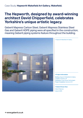## **The Hepworth, designed by award-winning architect David Chipperfield, celebrates Yorkshire's unique artistic legacy.**

Geberit Mapress Carbon Steel, Geberit Mapress Stainless Steel Gas and Geberit HDPE piping were all specified in the construction, meaning Geberit piping systems feature throughout the building.



← Hepworth Wakefield Art Gallery.

#### **→ Project information**

Building: Hepworth Wakefield Art Gallery Location: Yorkshire, UK Contractor: Crown House Technologies Project Completion: Summer 2011

**→ Geberit Know-How**

Geberit Mapress Geberit HDPE